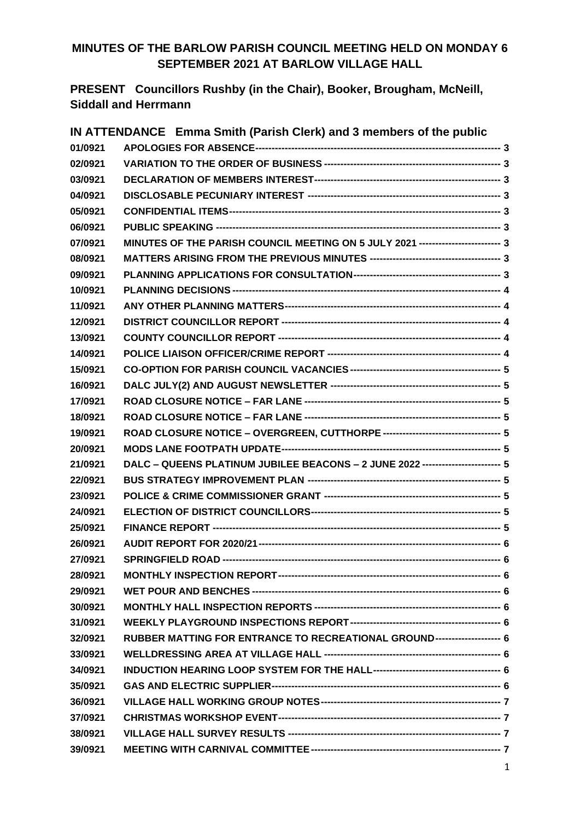### **MINUTES OF THE BARLOW PARISH COUNCIL MEETING HELD ON MONDAY 6 SEPTEMBER 2021 AT BARLOW VILLAGE HALL**

**PRESENT Councillors Rushby (in the Chair), Booker, Brougham, McNeill, Siddall and Herrmann**

|         | IN ATTENDANCE Emma Smith (Parish Clerk) and 3 members of the public              |  |
|---------|----------------------------------------------------------------------------------|--|
| 01/0921 |                                                                                  |  |
| 02/0921 |                                                                                  |  |
| 03/0921 |                                                                                  |  |
| 04/0921 |                                                                                  |  |
| 05/0921 |                                                                                  |  |
| 06/0921 |                                                                                  |  |
| 07/0921 | MINUTES OF THE PARISH COUNCIL MEETING ON 5 JULY 2021 ------------------------ 3  |  |
| 08/0921 |                                                                                  |  |
| 09/0921 |                                                                                  |  |
| 10/0921 |                                                                                  |  |
| 11/0921 |                                                                                  |  |
| 12/0921 |                                                                                  |  |
| 13/0921 |                                                                                  |  |
| 14/0921 |                                                                                  |  |
| 15/0921 |                                                                                  |  |
| 16/0921 |                                                                                  |  |
| 17/0921 |                                                                                  |  |
| 18/0921 |                                                                                  |  |
| 19/0921 | ROAD CLOSURE NOTICE - OVERGREEN, CUTTHORPE ----------------------------------- 5 |  |
| 20/0921 |                                                                                  |  |
| 21/0921 | DALC - QUEENS PLATINUM JUBILEE BEACONS - 2 JUNE 2022 ----------------------- 5   |  |
| 22/0921 |                                                                                  |  |
| 23/0921 |                                                                                  |  |
| 24/0921 |                                                                                  |  |
| 25/0921 |                                                                                  |  |
| 26/0921 |                                                                                  |  |
| 27/0921 |                                                                                  |  |
| 28/0921 |                                                                                  |  |
| 29/0921 |                                                                                  |  |
| 30/0921 |                                                                                  |  |
| 31/0921 |                                                                                  |  |
| 32/0921 | RUBBER MATTING FOR ENTRANCE TO RECREATIONAL GROUND------------------- 6          |  |
| 33/0921 |                                                                                  |  |
| 34/0921 |                                                                                  |  |
| 35/0921 |                                                                                  |  |
| 36/0921 |                                                                                  |  |
| 37/0921 |                                                                                  |  |
| 38/0921 |                                                                                  |  |
| 39/0921 |                                                                                  |  |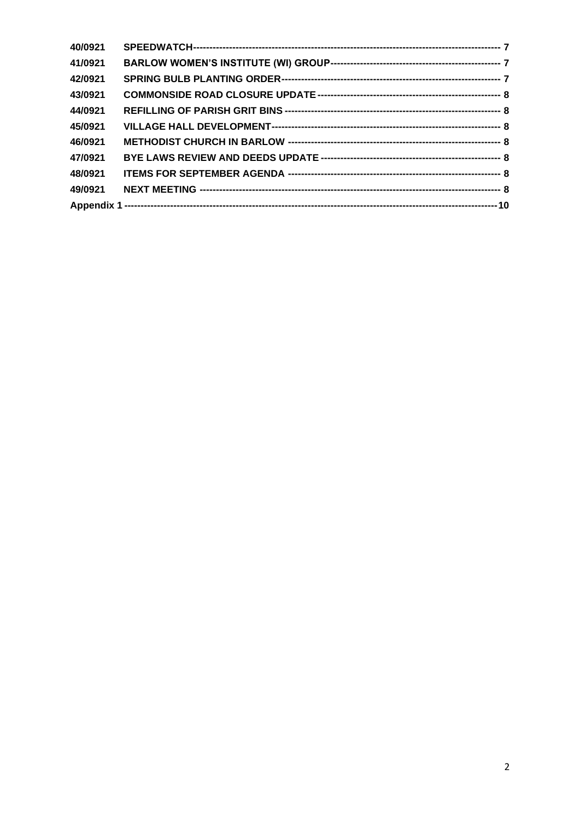| 40/0921 |  |
|---------|--|
| 41/0921 |  |
| 42/0921 |  |
| 43/0921 |  |
| 44/0921 |  |
| 45/0921 |  |
| 46/0921 |  |
| 47/0921 |  |
| 48/0921 |  |
| 49/0921 |  |
|         |  |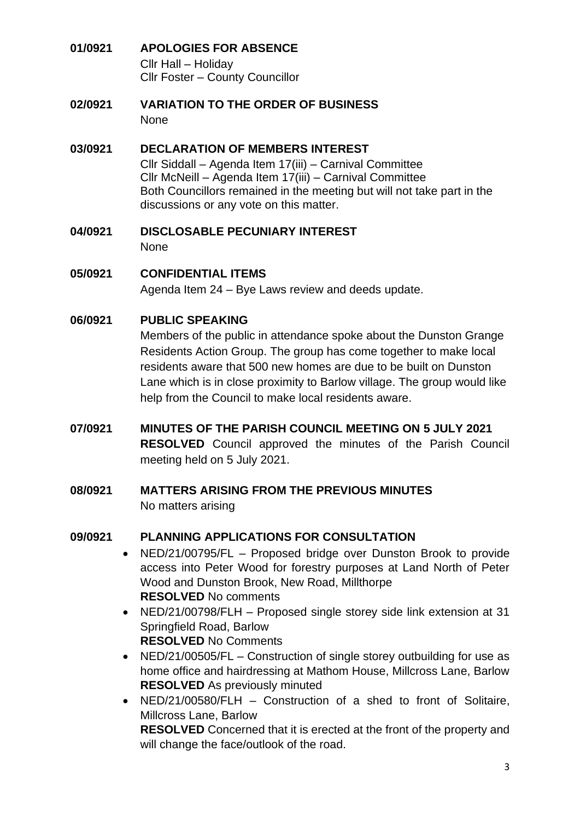#### <span id="page-2-0"></span>**01/0921 APOLOGIES FOR ABSENCE** Cllr Hall – Holiday Cllr Foster – County Councillor

<span id="page-2-1"></span>**02/0921 VARIATION TO THE ORDER OF BUSINESS** None

#### <span id="page-2-2"></span>**03/0921 DECLARATION OF MEMBERS INTEREST** Cllr Siddall – Agenda Item 17(iii) – Carnival Committee Cllr McNeill – Agenda Item 17(iii) – Carnival Committee Both Councillors remained in the meeting but will not take part in the discussions or any vote on this matter.

<span id="page-2-3"></span>**04/0921 DISCLOSABLE PECUNIARY INTEREST** None

<span id="page-2-4"></span>**05/0921 CONFIDENTIAL ITEMS** Agenda Item 24 – Bye Laws review and deeds update.

### <span id="page-2-5"></span>**06/0921 PUBLIC SPEAKING**

Members of the public in attendance spoke about the Dunston Grange Residents Action Group. The group has come together to make local residents aware that 500 new homes are due to be built on Dunston Lane which is in close proximity to Barlow village. The group would like help from the Council to make local residents aware.

- <span id="page-2-6"></span>**07/0921 MINUTES OF THE PARISH COUNCIL MEETING ON 5 JULY 2021 RESOLVED** Council approved the minutes of the Parish Council meeting held on 5 July 2021.
- <span id="page-2-7"></span>**08/0921 MATTERS ARISING FROM THE PREVIOUS MINUTES**  No matters arising

### <span id="page-2-8"></span>**09/0921 PLANNING APPLICATIONS FOR CONSULTATION**

- NED/21/00795/FL Proposed bridge over Dunston Brook to provide access into Peter Wood for forestry purposes at Land North of Peter Wood and Dunston Brook, New Road, Millthorpe **RESOLVED** No comments
- NED/21/00798/FLH Proposed single storey side link extension at 31 Springfield Road, Barlow **RESOLVED** No Comments
- NED/21/00505/FL Construction of single storey outbuilding for use as home office and hairdressing at Mathom House, Millcross Lane, Barlow **RESOLVED** As previously minuted
- NED/21/00580/FLH Construction of a shed to front of Solitaire, Millcross Lane, Barlow **RESOLVED** Concerned that it is erected at the front of the property and will change the face/outlook of the road.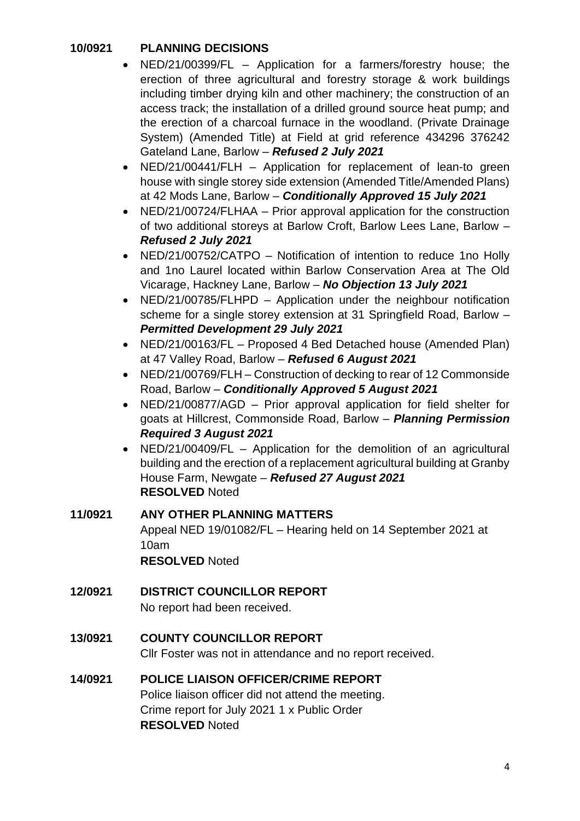### <span id="page-3-0"></span>**10/0921 PLANNING DECISIONS**

- NED/21/00399/FL Application for a farmers/forestry house; the erection of three agricultural and forestry storage & work buildings including timber drying kiln and other machinery; the construction of an access track; the installation of a drilled ground source heat pump; and the erection of a charcoal furnace in the woodland. (Private Drainage System) (Amended Title) at Field at grid reference 434296 376242 Gateland Lane, Barlow – *Refused 2 July 2021*
- NED/21/00441/FLH Application for replacement of lean-to green house with single storey side extension (Amended Title/Amended Plans) at 42 Mods Lane, Barlow – *Conditionally Approved 15 July 2021*
- NED/21/00724/FLHAA Prior approval application for the construction of two additional storeys at Barlow Croft, Barlow Lees Lane, Barlow – *Refused 2 July 2021*
- NED/21/00752/CATPO Notification of intention to reduce 1no Holly and 1no Laurel located within Barlow Conservation Area at The Old Vicarage, Hackney Lane, Barlow – *No Objection 13 July 2021*
- NED/21/00785/FLHPD Application under the neighbour notification scheme for a single storey extension at 31 Springfield Road, Barlow – *Permitted Development 29 July 2021*
- NED/21/00163/FL Proposed 4 Bed Detached house (Amended Plan) at 47 Valley Road, Barlow – *Refused 6 August 2021*
- NED/21/00769/FLH Construction of decking to rear of 12 Commonside Road, Barlow – *Conditionally Approved 5 August 2021*
- NED/21/00877/AGD Prior approval application for field shelter for goats at Hillcrest, Commonside Road, Barlow – *Planning Permission Required 3 August 2021*
- NED/21/00409/FL Application for the demolition of an agricultural building and the erection of a replacement agricultural building at Granby House Farm, Newgate – *Refused 27 August 2021* **RESOLVED** Noted

# <span id="page-3-1"></span>**11/0921 ANY OTHER PLANNING MATTERS**

Appeal NED 19/01082/FL – Hearing held on 14 September 2021 at 10am **RESOLVED** Noted

# <span id="page-3-2"></span>**12/0921 DISTRICT COUNCILLOR REPORT**

No report had been received.

# <span id="page-3-3"></span>**13/0921 COUNTY COUNCILLOR REPORT**

Cllr Foster was not in attendance and no report received.

#### <span id="page-3-4"></span>**14/0921 POLICE LIAISON OFFICER/CRIME REPORT** Police liaison officer did not attend the meeting. Crime report for July 2021 1 x Public Order **RESOLVED** Noted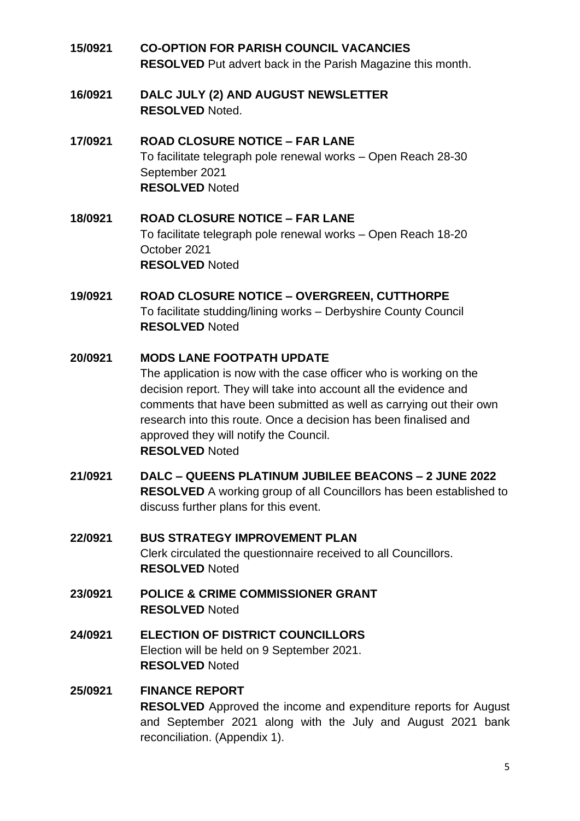- <span id="page-4-0"></span>**15/0921 CO-OPTION FOR PARISH COUNCIL VACANCIES RESOLVED** Put advert back in the Parish Magazine this month.
- <span id="page-4-1"></span>**16/0921 DALC JULY (2) AND AUGUST NEWSLETTER RESOLVED** Noted.

# <span id="page-4-2"></span>**17/0921 ROAD CLOSURE NOTICE – FAR LANE** To facilitate telegraph pole renewal works – Open Reach 28-30 September 2021 **RESOLVED** Noted

<span id="page-4-3"></span>**18/0921 ROAD CLOSURE NOTICE – FAR LANE** To facilitate telegraph pole renewal works – Open Reach 18-20 October 2021 **RESOLVED** Noted

### <span id="page-4-4"></span>**19/0921 ROAD CLOSURE NOTICE – OVERGREEN, CUTTHORPE** To facilitate studding/lining works – Derbyshire County Council **RESOLVED** Noted

# <span id="page-4-5"></span>**20/0921 MODS LANE FOOTPATH UPDATE**

The application is now with the case officer who is working on the decision report. They will take into account all the evidence and comments that have been submitted as well as carrying out their own research into this route. Once a decision has been finalised and approved they will notify the Council. **RESOLVED** Noted

- <span id="page-4-6"></span>**21/0921 DALC – QUEENS PLATINUM JUBILEE BEACONS – 2 JUNE 2022 RESOLVED** A working group of all Councillors has been established to discuss further plans for this event.
- <span id="page-4-7"></span>**22/0921 BUS STRATEGY IMPROVEMENT PLAN** Clerk circulated the questionnaire received to all Councillors. **RESOLVED** Noted
- <span id="page-4-8"></span>**23/0921 POLICE & CRIME COMMISSIONER GRANT RESOLVED** Noted
- <span id="page-4-9"></span>**24/0921 ELECTION OF DISTRICT COUNCILLORS**  Election will be held on 9 September 2021. **RESOLVED** Noted

#### <span id="page-4-10"></span>**25/0921 FINANCE REPORT RESOLVED** Approved the income and expenditure reports for August and September 2021 along with the July and August 2021 bank reconciliation. (Appendix 1).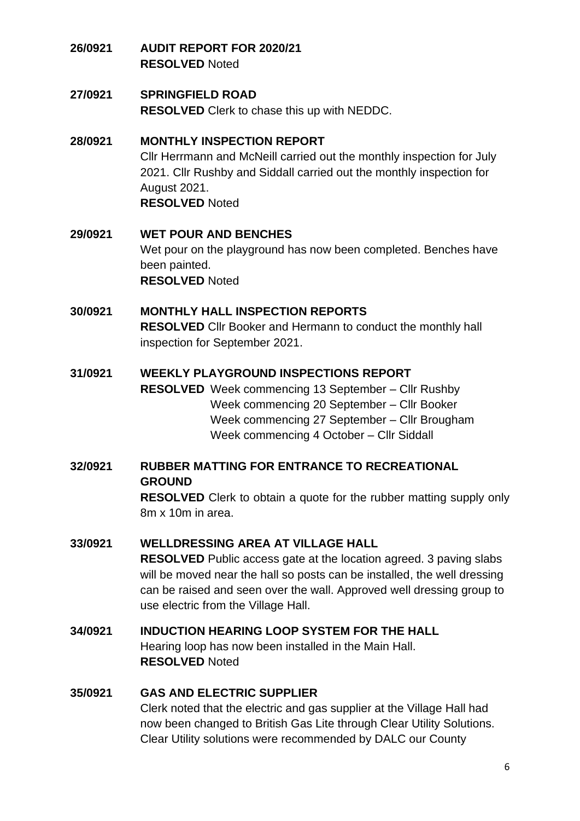- <span id="page-5-0"></span>**26/0921 AUDIT REPORT FOR 2020/21 RESOLVED** Noted
- <span id="page-5-1"></span>**27/0921 SPRINGFIELD ROAD RESOLVED** Clerk to chase this up with NEDDC.

### <span id="page-5-2"></span>**28/0921 MONTHLY INSPECTION REPORT**

Cllr Herrmann and McNeill carried out the monthly inspection for July 2021. Cllr Rushby and Siddall carried out the monthly inspection for August 2021. **RESOLVED** Noted

#### <span id="page-5-3"></span>**29/0921 WET POUR AND BENCHES** Wet pour on the playground has now been completed. Benches have been painted. **RESOLVED** Noted

### <span id="page-5-4"></span>**30/0921 MONTHLY HALL INSPECTION REPORTS RESOLVED** Cllr Booker and Hermann to conduct the monthly hall inspection for September 2021.

### <span id="page-5-5"></span>**31/0921 WEEKLY PLAYGROUND INSPECTIONS REPORT**

**RESOLVED** Week commencing 13 September – Cllr Rushby Week commencing 20 September – Cllr Booker Week commencing 27 September – Cllr Brougham Week commencing 4 October – Cllr Siddall

<span id="page-5-6"></span>**32/0921 RUBBER MATTING FOR ENTRANCE TO RECREATIONAL GROUND**

> **RESOLVED** Clerk to obtain a quote for the rubber matting supply only 8m x 10m in area.

### <span id="page-5-7"></span>**33/0921 WELLDRESSING AREA AT VILLAGE HALL**

**RESOLVED** Public access gate at the location agreed. 3 paving slabs will be moved near the hall so posts can be installed, the well dressing can be raised and seen over the wall. Approved well dressing group to use electric from the Village Hall.

### <span id="page-5-8"></span>**34/0921 INDUCTION HEARING LOOP SYSTEM FOR THE HALL** Hearing loop has now been installed in the Main Hall. **RESOLVED** Noted

#### <span id="page-5-9"></span>**35/0921 GAS AND ELECTRIC SUPPLIER**

Clerk noted that the electric and gas supplier at the Village Hall had now been changed to British Gas Lite through Clear Utility Solutions. Clear Utility solutions were recommended by DALC our County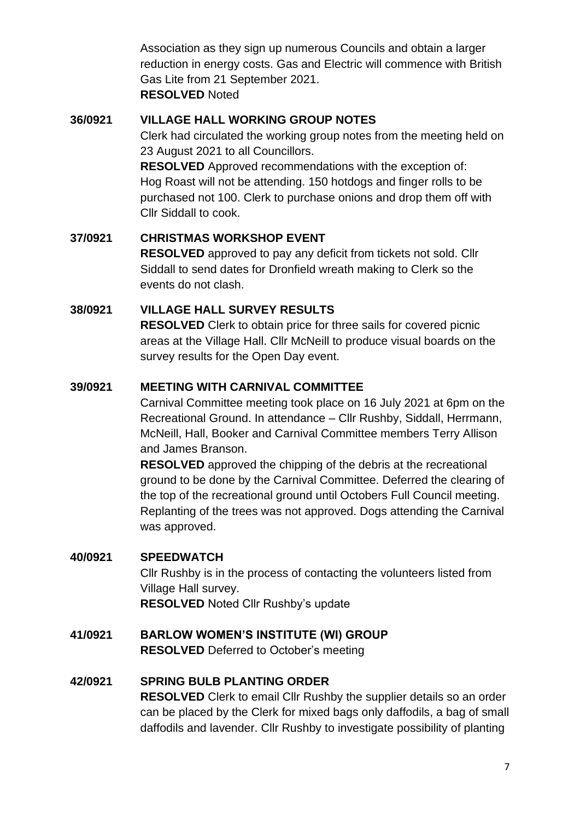Association as they sign up numerous Councils and obtain a larger reduction in energy costs. Gas and Electric will commence with British Gas Lite from 21 September 2021. **RESOLVED** Noted

#### <span id="page-6-0"></span>**36/0921 VILLAGE HALL WORKING GROUP NOTES**

Clerk had circulated the working group notes from the meeting held on 23 August 2021 to all Councillors.

**RESOLVED** Approved recommendations with the exception of: Hog Roast will not be attending. 150 hotdogs and finger rolls to be purchased not 100. Clerk to purchase onions and drop them off with Cllr Siddall to cook.

### <span id="page-6-1"></span>**37/0921 CHRISTMAS WORKSHOP EVENT**

**RESOLVED** approved to pay any deficit from tickets not sold. Cllr Siddall to send dates for Dronfield wreath making to Clerk so the events do not clash.

### <span id="page-6-2"></span>**38/0921 VILLAGE HALL SURVEY RESULTS**

**RESOLVED** Clerk to obtain price for three sails for covered picnic areas at the Village Hall. Cllr McNeill to produce visual boards on the survey results for the Open Day event.

### <span id="page-6-3"></span>**39/0921 MEETING WITH CARNIVAL COMMITTEE**

Carnival Committee meeting took place on 16 July 2021 at 6pm on the Recreational Ground. In attendance – Cllr Rushby, Siddall, Herrmann, McNeill, Hall, Booker and Carnival Committee members Terry Allison and James Branson.

**RESOLVED** approved the chipping of the debris at the recreational ground to be done by the Carnival Committee. Deferred the clearing of the top of the recreational ground until Octobers Full Council meeting. Replanting of the trees was not approved. Dogs attending the Carnival was approved.

#### <span id="page-6-4"></span>**40/0921 SPEEDWATCH**

Cllr Rushby is in the process of contacting the volunteers listed from Village Hall survey. **RESOLVED** Noted Cllr Rushby's update

<span id="page-6-5"></span>**41/0921 BARLOW WOMEN'S INSTITUTE (WI) GROUP RESOLVED** Deferred to October's meeting

### <span id="page-6-6"></span>**42/0921 SPRING BULB PLANTING ORDER**

**RESOLVED** Clerk to email Cllr Rushby the supplier details so an order can be placed by the Clerk for mixed bags only daffodils, a bag of small daffodils and lavender. Cllr Rushby to investigate possibility of planting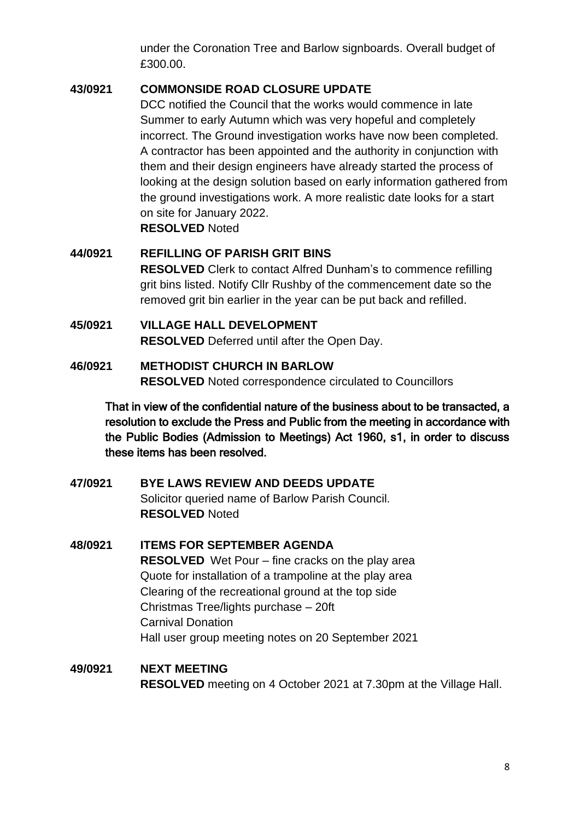under the Coronation Tree and Barlow signboards. Overall budget of £300.00.

### <span id="page-7-0"></span>**43/0921 COMMONSIDE ROAD CLOSURE UPDATE**

DCC notified the Council that the works would commence in late Summer to early Autumn which was very hopeful and completely incorrect. The Ground investigation works have now been completed. A contractor has been appointed and the authority in conjunction with them and their design engineers have already started the process of looking at the design solution based on early information gathered from the ground investigations work. A more realistic date looks for a start on site for January 2022. **RESOLVED** Noted

# <span id="page-7-1"></span>**44/0921 REFILLING OF PARISH GRIT BINS RESOLVED** Clerk to contact Alfred Dunham's to commence refilling grit bins listed. Notify Cllr Rushby of the commencement date so the removed grit bin earlier in the year can be put back and refilled.

<span id="page-7-2"></span>**45/0921 VILLAGE HALL DEVELOPMENT RESOLVED** Deferred until after the Open Day.

#### <span id="page-7-3"></span>**46/0921 METHODIST CHURCH IN BARLOW RESOLVED** Noted correspondence circulated to Councillors

That in view of the confidential nature of the business about to be transacted, a resolution to exclude the Press and Public from the meeting in accordance with the Public Bodies (Admission to Meetings) Act 1960, s1, in order to discuss these items has been resolved.

### <span id="page-7-4"></span>**47/0921 BYE LAWS REVIEW AND DEEDS UPDATE** Solicitor queried name of Barlow Parish Council. **RESOLVED** Noted

### <span id="page-7-5"></span>**48/0921 ITEMS FOR SEPTEMBER AGENDA RESOLVED** Wet Pour – fine cracks on the play area Quote for installation of a trampoline at the play area Clearing of the recreational ground at the top side Christmas Tree/lights purchase – 20ft Carnival Donation Hall user group meeting notes on 20 September 2021

# <span id="page-7-6"></span>**49/0921 NEXT MEETING RESOLVED** meeting on 4 October 2021 at 7.30pm at the Village Hall.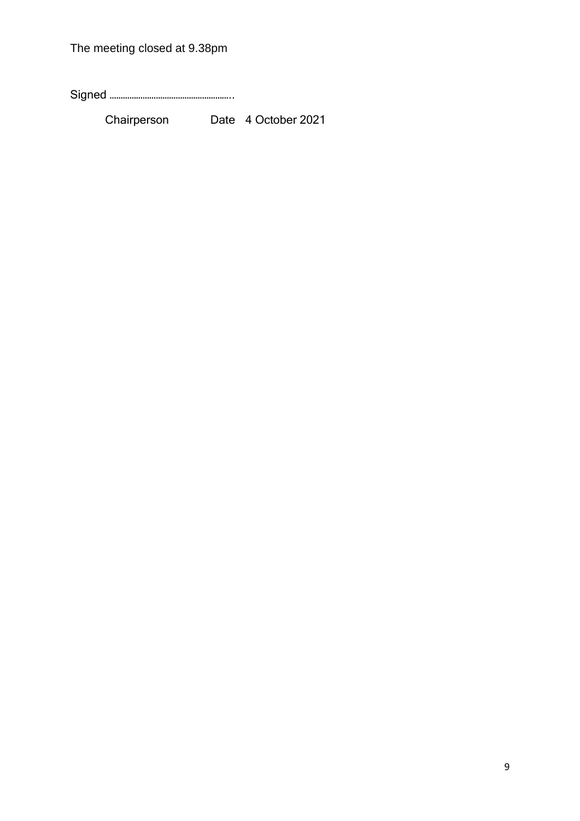The meeting closed at 9.38pm

Signed ………………………………………………..

Chairperson Date 4 October 2021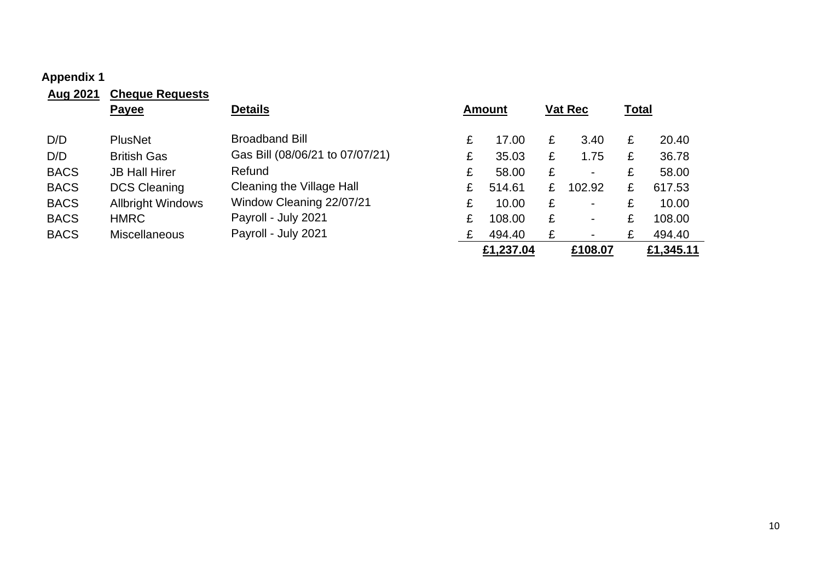# **Appendix 1**

<span id="page-9-0"></span>

| Aug 2021    | <b>Cheque Requests</b>   |                                 |   |               |   |                |              |           |
|-------------|--------------------------|---------------------------------|---|---------------|---|----------------|--------------|-----------|
|             | <b>Payee</b>             | <b>Details</b>                  |   | <b>Amount</b> |   | <b>Vat Rec</b> | <b>Total</b> |           |
| D/D         | <b>PlusNet</b>           | <b>Broadband Bill</b>           | £ | 17.00         | £ | 3.40           | £            | 20.40     |
| D/D         | <b>British Gas</b>       | Gas Bill (08/06/21 to 07/07/21) | £ | 35.03         | £ | 1.75           | £            | 36.78     |
| <b>BACS</b> | <b>JB Hall Hirer</b>     | Refund                          | £ | 58.00         | £ | $\blacksquare$ | £            | 58.00     |
| <b>BACS</b> | <b>DCS Cleaning</b>      | Cleaning the Village Hall       | £ | 514.61        | £ | 102.92         | £            | 617.53    |
| <b>BACS</b> | <b>Allbright Windows</b> | Window Cleaning 22/07/21        | £ | 10.00         | £ | $\blacksquare$ | £            | 10.00     |
| <b>BACS</b> | <b>HMRC</b>              | Payroll - July 2021             | £ | 108.00        | £ | $\blacksquare$ | £            | 108.00    |
| <b>BACS</b> | <b>Miscellaneous</b>     | Payroll - July 2021             | £ | 494.40        | £ |                | £            | 494.40    |
|             |                          |                                 |   | £1,237.04     |   | £108.07        |              | £1,345.11 |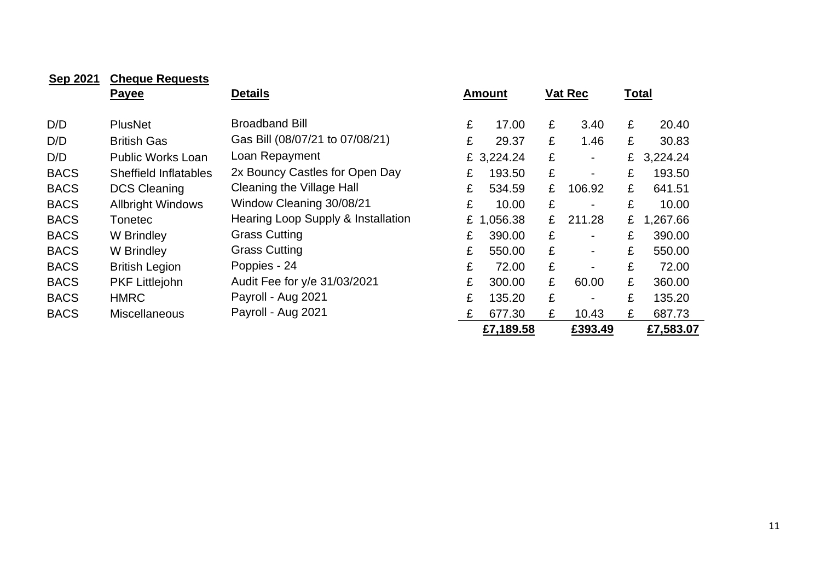| <b>Sep 2021</b> | <b>Cheque Requests</b>   |                                    |               |                     |               |  |
|-----------------|--------------------------|------------------------------------|---------------|---------------------|---------------|--|
|                 | <b>Payee</b>             | <b>Details</b>                     | <b>Amount</b> | <b>Vat Rec</b>      | <b>Total</b>  |  |
|                 |                          |                                    |               |                     |               |  |
| D/D             | <b>PlusNet</b>           | <b>Broadband Bill</b>              | £<br>17.00    | £<br>3.40           | £<br>20.40    |  |
| D/D             | <b>British Gas</b>       | Gas Bill (08/07/21 to 07/08/21)    | £<br>29.37    | £<br>1.46           | £<br>30.83    |  |
| D/D             | <b>Public Works Loan</b> | Loan Repayment                     | £ 3,224.24    | £<br>$\blacksquare$ | 3,224.24<br>£ |  |
| <b>BACS</b>     | Sheffield Inflatables    | 2x Bouncy Castles for Open Day     | 193.50<br>£   | £<br>$\blacksquare$ | £<br>193.50   |  |
| <b>BACS</b>     | <b>DCS Cleaning</b>      | Cleaning the Village Hall          | £<br>534.59   | £<br>106.92         | £<br>641.51   |  |
| <b>BACS</b>     | <b>Allbright Windows</b> | Window Cleaning 30/08/21           | £<br>10.00    | £                   | £<br>10.00    |  |
| <b>BACS</b>     | <b>Tonetec</b>           | Hearing Loop Supply & Installation | £ 1,056.38    | £<br>211.28         | £<br>1,267.66 |  |
| <b>BACS</b>     | W Brindley               | <b>Grass Cutting</b>               | £<br>390.00   | £<br>$\blacksquare$ | £<br>390.00   |  |
| <b>BACS</b>     | W Brindley               | <b>Grass Cutting</b>               | £<br>550.00   | £                   | £<br>550.00   |  |
| <b>BACS</b>     | <b>British Legion</b>    | Poppies - 24                       | £<br>72.00    | £                   | £<br>72.00    |  |
| <b>BACS</b>     | <b>PKF Littlejohn</b>    | Audit Fee for y/e 31/03/2021       | £<br>300.00   | £<br>60.00          | £<br>360.00   |  |
| <b>BACS</b>     | <b>HMRC</b>              | Payroll - Aug 2021                 | £<br>135.20   | £<br>$\blacksquare$ | £<br>135.20   |  |
| <b>BACS</b>     | <b>Miscellaneous</b>     | Payroll - Aug 2021                 | £<br>677.30   | £<br>10.43          | £<br>687.73   |  |
|                 |                          |                                    | £7,189.58     | £393.49             | £7,583.07     |  |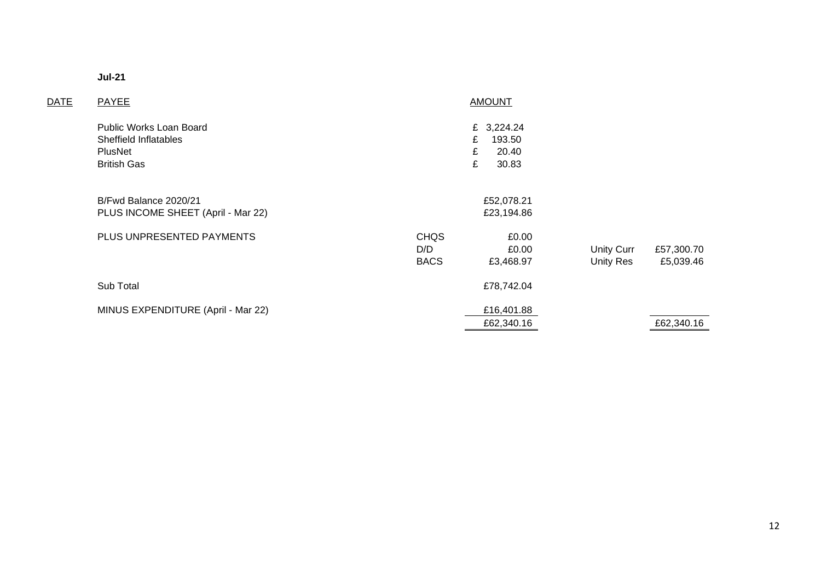| ш<br>٠<br>۰,<br>٩ |  |
|-------------------|--|
|-------------------|--|

| <b>DATE</b> | PAYEE                                                                             |                                   | <b>AMOUNT</b>                                         |                                |                         |
|-------------|-----------------------------------------------------------------------------------|-----------------------------------|-------------------------------------------------------|--------------------------------|-------------------------|
|             | Public Works Loan Board<br>Sheffield Inflatables<br>PlusNet<br><b>British Gas</b> |                                   | £ 3,224.24<br>193.50<br>£<br>£<br>20.40<br>£<br>30.83 |                                |                         |
|             | B/Fwd Balance 2020/21<br>PLUS INCOME SHEET (April - Mar 22)                       |                                   | £52,078.21<br>£23,194.86                              |                                |                         |
|             | PLUS UNPRESENTED PAYMENTS                                                         | <b>CHQS</b><br>D/D<br><b>BACS</b> | £0.00<br>£0.00<br>£3,468.97                           | <b>Unity Curr</b><br>Unity Res | £57,300.70<br>£5,039.46 |
|             | Sub Total                                                                         |                                   | £78,742.04                                            |                                |                         |
|             | MINUS EXPENDITURE (April - Mar 22)                                                |                                   | £16,401.88<br>£62,340.16                              |                                | £62,340.16              |